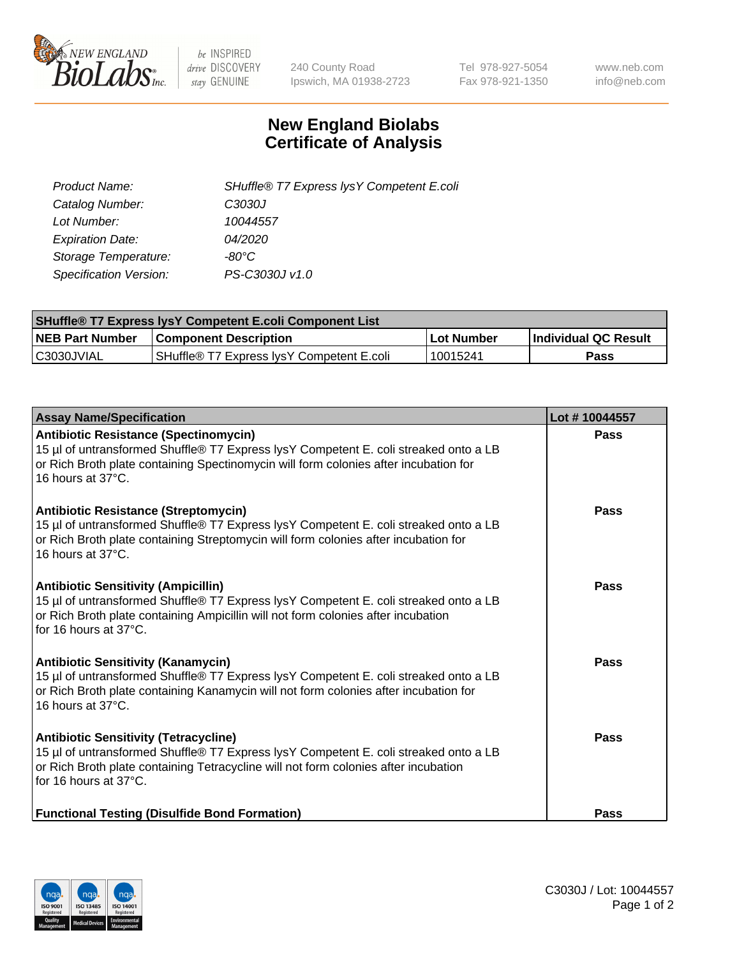

 $be$  INSPIRED drive DISCOVERY stay GENUINE

240 County Road Ipswich, MA 01938-2723 Tel 978-927-5054 Fax 978-921-1350 www.neb.com info@neb.com

## **New England Biolabs Certificate of Analysis**

| SHuffle® T7 Express lysY Competent E.coli |
|-------------------------------------------|
| C3030J                                    |
| 10044557                                  |
| 04/2020                                   |
| -80°C                                     |
| PS-C3030J v1.0                            |
|                                           |

| <b>SHuffle® T7 Express lysY Competent E.coli Component List</b> |                                           |                   |                             |  |
|-----------------------------------------------------------------|-------------------------------------------|-------------------|-----------------------------|--|
| <b>NEB Part Number</b>                                          | <b>Component Description</b>              | <b>Lot Number</b> | <b>Individual QC Result</b> |  |
| C3030JVIAL                                                      | SHuffle® T7 Express IysY Competent E.coli | 10015241          | Pass                        |  |

| <b>Assay Name/Specification</b>                                                                                                                                                                                                                           | Lot #10044557 |
|-----------------------------------------------------------------------------------------------------------------------------------------------------------------------------------------------------------------------------------------------------------|---------------|
| <b>Antibiotic Resistance (Spectinomycin)</b><br>15 µl of untransformed Shuffle® T7 Express lysY Competent E. coli streaked onto a LB<br>or Rich Broth plate containing Spectinomycin will form colonies after incubation for<br>16 hours at 37°C.         | Pass          |
| <b>Antibiotic Resistance (Streptomycin)</b><br>15 µl of untransformed Shuffle® T7 Express lysY Competent E. coli streaked onto a LB<br>or Rich Broth plate containing Streptomycin will form colonies after incubation for<br>16 hours at $37^{\circ}$ C. | Pass          |
| <b>Antibiotic Sensitivity (Ampicillin)</b><br>15 µl of untransformed Shuffle® T7 Express lysY Competent E. coli streaked onto a LB<br>or Rich Broth plate containing Ampicillin will not form colonies after incubation<br>for 16 hours at 37°C.          | Pass          |
| <b>Antibiotic Sensitivity (Kanamycin)</b><br>15 µl of untransformed Shuffle® T7 Express lysY Competent E. coli streaked onto a LB<br>or Rich Broth plate containing Kanamycin will not form colonies after incubation for<br>16 hours at $37^{\circ}$ C.  | Pass          |
| <b>Antibiotic Sensitivity (Tetracycline)</b><br>15 µl of untransformed Shuffle® T7 Express lysY Competent E. coli streaked onto a LB<br>or Rich Broth plate containing Tetracycline will not form colonies after incubation<br>for 16 hours at 37°C.      | Pass          |
| <b>Functional Testing (Disulfide Bond Formation)</b>                                                                                                                                                                                                      | Pass          |